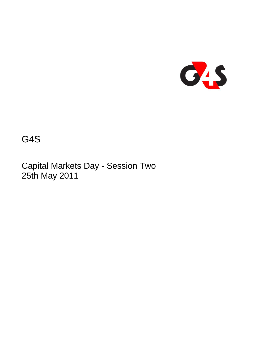

G4S

Capital Markets Day - Session Two 25th May 2011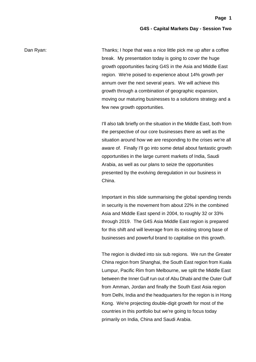Dan Ryan: Thanks; I hope that was a nice little pick me up after a coffee break. My presentation today is going to cover the huge growth opportunities facing G4S in the Asia and Middle East region. We're poised to experience about 14% growth per annum over the next several years. We will achieve this growth through a combination of geographic expansion, moving our maturing businesses to a solutions strategy and a few new growth opportunities.

> I'll also talk briefly on the situation in the Middle East, both from the perspective of our core businesses there as well as the situation around how we are responding to the crises we're all aware of. Finally I'll go into some detail about fantastic growth opportunities in the large current markets of India, Saudi Arabia, as well as our plans to seize the opportunities presented by the evolving deregulation in our business in China.

> Important in this slide summarising the global spending trends in security is the movement from about 22% in the combined Asia and Middle East spend in 2004, to roughly 32 or 33% through 2019. The G4S Asia Middle East region is prepared for this shift and will leverage from its existing strong base of businesses and powerful brand to capitalise on this growth.

> The region is divided into six sub regions. We run the Greater China region from Shanghai, the South East region from Kuala Lumpur, Pacific Rim from Melbourne, we split the Middle East between the Inner Gulf run out of Abu Dhabi and the Outer Gulf from Amman, Jordan and finally the South East Asia region from Delhi, India and the headquarters for the region is in Hong Kong. We're projecting double-digit growth for most of the countries in this portfolio but we're going to focus today primarily on India, China and Saudi Arabia.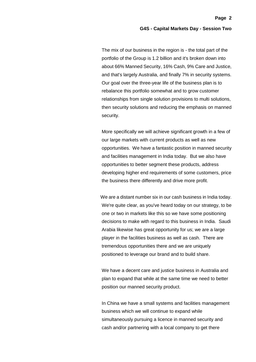The mix of our business in the region is - the total part of the portfolio of the Group is 1.2 billion and it's broken down into about 66% Manned Security, 16% Cash, 9% Care and Justice, and that's largely Australia, and finally 7% in security systems. Our goal over the three-year life of the business plan is to rebalance this portfolio somewhat and to grow customer relationships from single solution provisions to multi solutions, then security solutions and reducing the emphasis on manned security.

More specifically we will achieve significant growth in a few of our large markets with current products as well as new opportunities. We have a fantastic position in manned security and facilities management in India today. But we also have opportunities to better segment these products, address developing higher end requirements of some customers, price the business there differently and drive more profit.

We are a distant number six in our cash business in India today. We're quite clear, as you've heard today on our strategy, to be one or two in markets like this so we have some positioning decisions to make with regard to this business in India. Saudi Arabia likewise has great opportunity for us; we are a large player in the facilities business as well as cash. There are tremendous opportunities there and we are uniquely positioned to leverage our brand and to build share.

We have a decent care and justice business in Australia and plan to expand that while at the same time we need to better position our manned security product.

In China we have a small systems and facilities management business which we will continue to expand while simultaneously pursuing a licence in manned security and cash and/or partnering with a local company to get there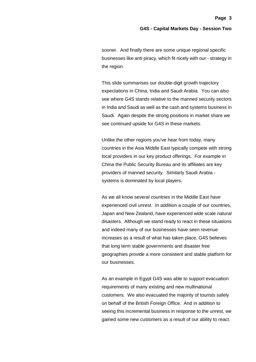sooner. And finally there are some unique regional specific businesses like anti piracy, which fit nicely with our - strategy in the region.

This slide summarises our double-digit growth trajectory expectations in China, India and Saudi Arabia. You can also see where G4S stands relative to the manned security sectors in India and Saudi as well as the cash and systems business in Saudi. Again despite the strong positions in market share we see continued upside for G4S in these markets.

Unlike the other regions you've hear from today, many countries in the Asia Middle East typically compete with strong local providers in our key product offerings. For example in China the Public Security Bureau and its affiliates are key providers of manned security. Similarly Saudi Arabia systems is dominated by local players.

As we all know several countries in the Middle East have experienced civil unrest. In addition a couple of our countries, Japan and New Zealand, have experienced wide scale natural disasters. Although we stand ready to react in these situations and indeed many of our businesses have seen revenue increases as a result of what has taken place, G4S believes that long term stable governments and disaster free geographies provide a more consistent and stable platform for our businesses.

As an example in Egypt G4S was able to support evacuation requirements of many existing and new multinational customers. We also evacuated the majority of tourists safely on behalf of the British Foreign Office. And in addition to seeing this incremental business in response to the unrest, we gained some new customers as a result of our ability to react.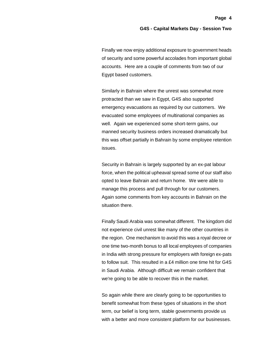Finally we now enjoy additional exposure to government heads of security and some powerful accolades from important global accounts. Here are a couple of comments from two of our Egypt based customers.

Similarly in Bahrain where the unrest was somewhat more protracted than we saw in Egypt, G4S also supported emergency evacuations as required by our customers. We evacuated some employees of multinational companies as well. Again we experienced some short-term gains, our manned security business orders increased dramatically but this was offset partially in Bahrain by some employee retention issues.

Security in Bahrain is largely supported by an ex-pat labour force, when the political upheaval spread some of our staff also opted to leave Bahrain and return home. We were able to manage this process and pull through for our customers. Again some comments from key accounts in Bahrain on the situation there.

Finally Saudi Arabia was somewhat different. The kingdom did not experience civil unrest like many of the other countries in the region. One mechanism to avoid this was a royal decree or one time two-month bonus to all local employees of companies in India with strong pressure for employers with foreign ex-pats to follow suit. This resulted in a £4 million one time hit for G4S in Saudi Arabia. Although difficult we remain confident that we're going to be able to recover this in the market.

So again while there are clearly going to be opportunities to benefit somewhat from these types of situations in the short term, our belief is long term, stable governments provide us with a better and more consistent platform for our businesses.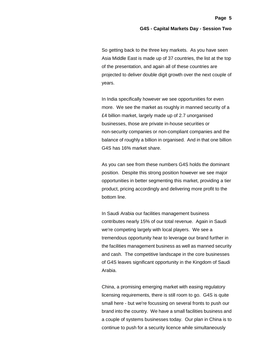So getting back to the three key markets. As you have seen Asia Middle East is made up of 37 countries, the list at the top of the presentation, and again all of these countries are projected to deliver double digit growth over the next couple of years.

In India specifically however we see opportunities for even more. We see the market as roughly in manned security of a £4 billion market, largely made up of 2.7 unorganised businesses, those are private in-house securities or non-security companies or non-compliant companies and the balance of roughly a billion in organised. And in that one billion G4S has 16% market share.

As you can see from these numbers G4S holds the dominant position. Despite this strong position however we see major opportunities in better segmenting this market, providing a tier product, pricing accordingly and delivering more profit to the bottom line.

In Saudi Arabia our facilities management business contributes nearly 15% of our total revenue. Again in Saudi we're competing largely with local players. We see a tremendous opportunity hear to leverage our brand further in the facilities management business as well as manned security and cash. The competitive landscape in the core businesses of G4S leaves significant opportunity in the Kingdom of Saudi Arabia.

China, a promising emerging market with easing regulatory licensing requirements, there is still room to go. G4S is quite small here - but we're focussing on several fronts to push our brand into the country. We have a small facilities business and a couple of systems businesses today. Our plan in China is to continue to push for a security licence while simultaneously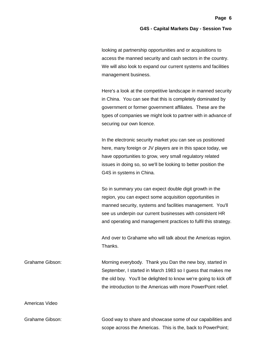looking at partnership opportunities and or acquisitions to access the manned security and cash sectors in the country. We will also look to expand our current systems and facilities management business.

Here's a look at the competitive landscape in manned security in China. You can see that this is completely dominated by government or former government affiliates. These are the types of companies we might look to partner with in advance of securing our own licence.

In the electronic security market you can see us positioned here, many foreign or JV players are in this space today, we have opportunities to grow, very small regulatory related issues in doing so, so we'll be looking to better position the G4S in systems in China.

So in summary you can expect double digit growth in the region, you can expect some acquisition opportunities in manned security, systems and facilities management. You'll see us underpin our current businesses with consistent HR and operating and management practices to fulfil this strategy.

And over to Grahame who will talk about the Americas region. Thanks.

Grahame Gibson: Morning everybody. Thank you Dan the new boy, started in September, I started in March 1983 so I guess that makes me the old boy. You'll be delighted to know we're going to kick off the introduction to the Americas with more PowerPoint relief.

Americas Video

Grahame Gibson: Good way to share and showcase some of our capabilities and scope across the Americas. This is the, back to PowerPoint;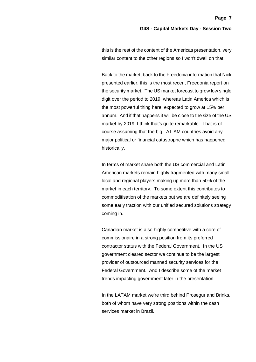this is the rest of the content of the Americas presentation, very similar content to the other regions so I won't dwell on that.

Back to the market, back to the Freedonia information that Nick presented earlier, this is the most recent Freedonia report on the security market. The US market forecast to grow low single digit over the period to 2019, whereas Latin America which is the most powerful thing here, expected to grow at 15% per annum. And if that happens it will be close to the size of the US market by 2019, I think that's quite remarkable. That is of course assuming that the big LAT AM countries avoid any major political or financial catastrophe which has happened historically.

In terms of market share both the US commercial and Latin American markets remain highly fragmented with many small local and regional players making up more than 50% of the market in each territory. To some extent this contributes to commoditisation of the markets but we are definitely seeing some early traction with our unified secured solutions strategy coming in.

Canadian market is also highly competitive with a core of commissionaire in a strong position from its preferred contractor status with the Federal Government. In the US government cleared sector we continue to be the largest provider of outsourced manned security services for the Federal Government. And I describe some of the market trends impacting government later in the presentation.

In the LATAM market we're third behind Prosegur and Brinks, both of whom have very strong positions within the cash services market in Brazil.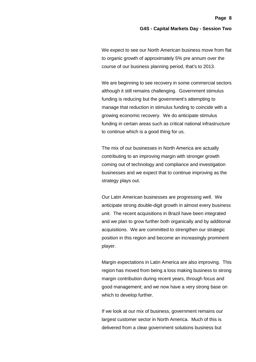We expect to see our North American business move from flat to organic growth of approximately 5% pre annum over the course of our business planning period, that's to 2013.

We are beginning to see recovery in some commercial sectors although it still remains challenging. Government stimulus funding is reducing but the government's attempting to manage that reduction in stimulus funding to coincide with a growing economic recovery. We do anticipate stimulus funding in certain areas such as critical national infrastructure to continue which is a good thing for us.

The mix of our businesses in North America are actually contributing to an improving margin with stronger growth coming out of technology and compliance and investigation businesses and we expect that to continue improving as the strategy plays out.

Our Latin American businesses are progressing well. We anticipate strong double-digit growth in almost every business unit. The recent acquisitions in Brazil have been integrated and we plan to grow further both organically and by additional acquisitions. We are committed to strengthen our strategic position in this region and become an increasingly prominent player.

Margin expectations in Latin America are also improving. This region has moved from being a loss making business to strong margin contribution during recent years, through focus and good management; and we now have a very strong base on which to develop further.

If we look at our mix of business, government remains our largest customer sector in North America. Much of this is delivered from a clear government solutions business but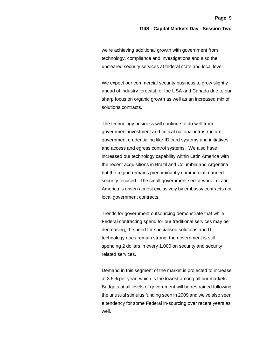**Page 9**

we're achieving additional growth with government from technology, compliance and investigations and also the uncleared security services at federal state and local level.

We expect our commercial security business to grow slightly ahead of industry forecast for the USA and Canada due to our sharp focus on organic growth as well as an increased mix of solutions contracts.

The technology business will continue to do well from government investment and critical national infrastructure, government credentialing like ID card systems and initiatives and access and egress control systems. We also have increased our technology capability within Latin America with the recent acquisitions in Brazil and Columbia and Argentina but the region remains predominantly commercial manned security focused. The small government sector work in Latin America is driven almost exclusively by embassy contracts not local government contracts.

Trends for government outsourcing demonstrate that while Federal contracting spend for our traditional services may be decreasing, the need for specialised solutions and IT, technology does remain strong, the government is still spending 2 dollars in every 1,000 on security and security related services.

Demand in this segment of the market is projected to increase at 3.5% per year, which is the lowest among all our markets. Budgets at all levels of government will be restrained following the unusual stimulus funding seen in 2009 and we've also seen a tendency for some Federal in-sourcing over recent years as well.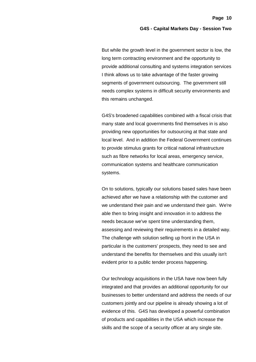But while the growth level in the government sector is low, the long term contracting environment and the opportunity to provide additional consulting and systems integration services I think allows us to take advantage of the faster growing segments of government outsourcing. The government still needs complex systems in difficult security environments and this remains unchanged.

G4S's broadened capabilities combined with a fiscal crisis that many state and local governments find themselves in is also providing new opportunities for outsourcing at that state and local level. And in addition the Federal Government continues to provide stimulus grants for critical national infrastructure such as fibre networks for local areas, emergency service, communication systems and healthcare communication systems.

On to solutions, typically our solutions based sales have been achieved after we have a relationship with the customer and we understand their pain and we understand their gain. We're able then to bring insight and innovation in to address the needs because we've spent time understanding them, assessing and reviewing their requirements in a detailed way. The challenge with solution selling up front in the USA in particular is the customers' prospects, they need to see and understand the benefits for themselves and this usually isn't evident prior to a public tender process happening.

Our technology acquisitions in the USA have now been fully integrated and that provides an additional opportunity for our businesses to better understand and address the needs of our customers jointly and our pipeline is already showing a lot of evidence of this. G4S has developed a powerful combination of products and capabilities in the USA which increase the skills and the scope of a security officer at any single site.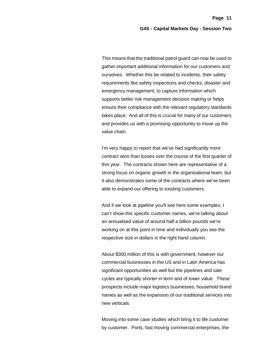This means that the traditional patrol guard can now be used to gather important additional information for our customers and ourselves. Whether this be related to incidents, their safety requirements like safety inspections and checks, disaster and emergency management, to capture information which supports better risk management decision making or helps ensure their compliance with the relevant regulatory standards takes place. And all of this is crucial for many of our customers and provides us with a promising opportunity to move up the value chain.

I'm very happy to report that we've had significantly more contract wins than losses over the course of the first quarter of this year. The contracts shown here are representative of a strong focus on organic growth in the organisational team, but it also demonstrates some of the contracts where we've been able to expand our offering to existing customers.

And if we look at pipeline you'll see here some examples, I can't show this specific customer names, we're talking about an annualised value of around half a billion pounds we're working on at this point in time and individually you see the respective size in dollars in the right hand column.

About \$300 million of this is with government, however our commercial businesses in the US and in Latin America has significant opportunities as well but the pipelines and sale cycles are typically shorter in term and of lower value. These prospects include major logistics businesses, household brand names as well as the expansion of our traditional services into new verticals.

Moving into some case studies which bring it to life customer by customer. Ports, fast moving commercial enterprises, the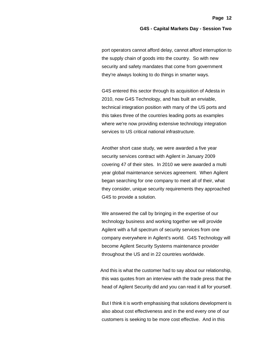port operators cannot afford delay, cannot afford interruption to the supply chain of goods into the country. So with new security and safety mandates that come from government they're always looking to do things in smarter ways.

G4S entered this sector through its acquisition of Adesta in 2010, now G4S Technology, and has built an enviable, technical integration position with many of the US ports and this takes three of the countries leading ports as examples where we're now providing extensive technology integration services to US critical national infrastructure.

Another short case study, we were awarded a five year security services contract with Agilent in January 2009 covering 47 of their sites. In 2010 we were awarded a multi year global maintenance services agreement. When Agilent began searching for one company to meet all of their, what they consider, unique security requirements they approached G4S to provide a solution.

We answered the call by bringing in the expertise of our technology business and working together we will provide Agilent with a full spectrum of security services from one company everywhere in Agilent's world. G4S Technology will become Agilent Security Systems maintenance provider throughout the US and in 22 countries worldwide.

And this is what the customer had to say about our relationship, this was quotes from an interview with the trade press that the head of Agilent Security did and you can read it all for yourself.

But I think it is worth emphasising that solutions development is also about cost effectiveness and in the end every one of our customers is seeking to be more cost effective. And in this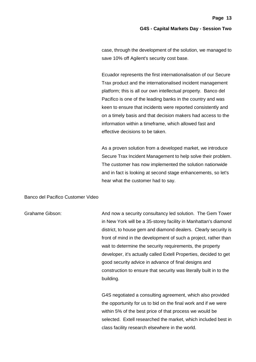case, through the development of the solution, we managed to save 10% off Agilent's security cost base.

Ecuador represents the first internationalisation of our Secure Trax product and the internationalised incident management platform; this is all our own intellectual property. Banco del Pacifico is one of the leading banks in the country and was keen to ensure that incidents were reported consistently and on a timely basis and that decision makers had access to the information within a timeframe, which allowed fast and effective decisions to be taken.

As a proven solution from a developed market, we introduce Secure Trax Incident Management to help solve their problem. The customer has now implemented the solution nationwide and in fact is looking at second stage enhancements, so let's hear what the customer had to say.

#### Banco del Pacifico Customer Video

Grahame Gibson: And now a security consultancy led solution. The Gem Tower in New York will be a 35-storey facility in Manhattan's diamond district, to house gem and diamond dealers. Clearly security is front of mind in the development of such a project, rather than wait to determine the security requirements, the property developer, it's actually called Extell Properties, decided to get good security advice in advance of final designs and construction to ensure that security was literally built in to the building.

> G4S negotiated a consulting agreement, which also provided the opportunity for us to bid on the final work and if we were within 5% of the best price of that process we would be selected. Extell researched the market, which included best in class facility research elsewhere in the world.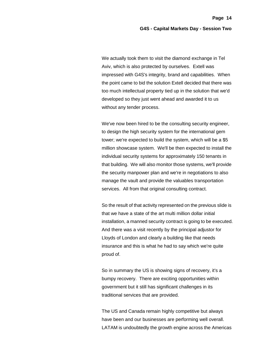We actually took them to visit the diamond exchange in Tel Aviv, which is also protected by ourselves. Extell was impressed with G4S's integrity, brand and capabilities. When the point came to bid the solution Extell decided that there was too much intellectual property tied up in the solution that we'd developed so they just went ahead and awarded it to us without any tender process.

We've now been hired to be the consulting security engineer, to design the high security system for the international gem tower; we're expected to build the system, which will be a \$5 million showcase system. We'll be then expected to install the individual security systems for approximately 150 tenants in that building. We will also monitor those systems, we'll provide the security manpower plan and we're in negotiations to also manage the vault and provide the valuables transportation services. All from that original consulting contract.

So the result of that activity represented on the previous slide is that we have a state of the art multi million dollar initial installation, a manned security contract is going to be executed. And there was a visit recently by the principal adjustor for Lloyds of London and clearly a building like that needs insurance and this is what he had to say which we're quite proud of.

So in summary the US is showing signs of recovery, it's a bumpy recovery. There are exciting opportunities within government but it still has significant challenges in its traditional services that are provided.

The US and Canada remain highly competitive but always have been and our businesses are performing well overall. LATAM is undoubtedly the growth engine across the Americas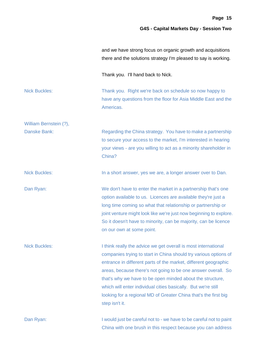|                        | and we have strong focus on organic growth and acquisitions<br>there and the solutions strategy I'm pleased to say is working.                                                                                                                                                                                                                                                                                                                                                            |
|------------------------|-------------------------------------------------------------------------------------------------------------------------------------------------------------------------------------------------------------------------------------------------------------------------------------------------------------------------------------------------------------------------------------------------------------------------------------------------------------------------------------------|
|                        | Thank you. I'll hand back to Nick.                                                                                                                                                                                                                                                                                                                                                                                                                                                        |
| <b>Nick Buckles:</b>   | Thank you. Right we're back on schedule so now happy to<br>have any questions from the floor for Asia Middle East and the<br>Americas.                                                                                                                                                                                                                                                                                                                                                    |
| William Bernstein (?), |                                                                                                                                                                                                                                                                                                                                                                                                                                                                                           |
| Danske Bank:           | Regarding the China strategy. You have to make a partnership<br>to secure your access to the market, I'm interested in hearing<br>your views - are you willing to act as a minority shareholder in<br>China?                                                                                                                                                                                                                                                                              |
| <b>Nick Buckles:</b>   | In a short answer, yes we are, a longer answer over to Dan.                                                                                                                                                                                                                                                                                                                                                                                                                               |
| Dan Ryan:              | We don't have to enter the market in a partnership that's one<br>option available to us. Licences are available they're just a<br>long time coming so what that relationship or partnership or<br>joint venture might look like we're just now beginning to explore.<br>So it doesn't have to minority, can be majority, can be licence<br>on our own at some point.                                                                                                                      |
| <b>Nick Buckles:</b>   | I think really the advice we get overall is most international<br>companies trying to start in China should try various options of<br>entrance in different parts of the market, different geographic<br>areas, because there's not going to be one answer overall. So<br>that's why we have to be open minded about the structure,<br>which will enter individual cities basically. But we're still<br>looking for a regional MD of Greater China that's the first big<br>step isn't it. |
| Dan Ryan:              | I would just be careful not to - we have to be careful not to paint<br>China with one brush in this respect because you can address                                                                                                                                                                                                                                                                                                                                                       |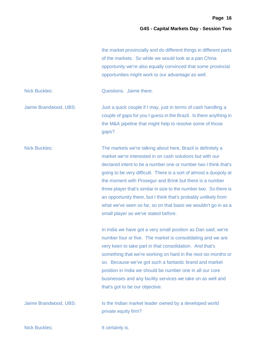the market provincially and do different things in different parts of the markets. So while we would look at a pan China opportunity we're also equally convinced that some provincial opportunities might work to our advantage as well.

Nick Buckles: Questions. Jaime there.

Jaime Brandwood, UBS: Just a quick couple if I may, just in terms of cash handling a couple of gaps for you I guess in the Brazil. Is there anything in the M&A pipeline that might help to resolve some of those gaps?

Nick Buckles: The markets we're talking about here, Brazil is definitely a market we're interested in on cash solutions but with our declared intent to be a number one or number two I think that's going to be very difficult. There is a sort of almost a duopoly at the moment with Prosegur and Brink but there is a number three player that's similar in size to the number two. So there is an opportunity there, but I think that's probably unlikely from what we've seen so far, so on that basis we wouldn't go in as a small player as we've stated before.

> In India we have got a very small position as Dan said; we're number four or five. The market is consolidating and we are very keen to take part in that consolidation. And that's something that we're working on hard in the next six months or so. Because we've got such a fantastic brand and market position in India we should be number one in all our core businesses and any facility services we take on as well and that's got to be our objective.

Jaime Brandwood, UBS: Is the Indian market leader owned by a developed world private equity firm?

Nick Buckles: It certainly is.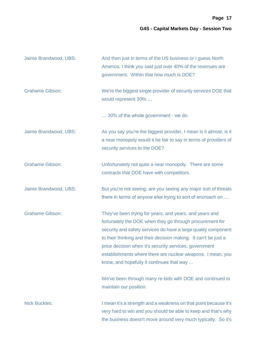| Jaime Brandwood, UBS:  | And then just in terms of the US business or I guess North<br>America, I think you said just over 40% of the revenues are<br>government. Within that how much is DOE?                                                                                                                                                                                                                                                          |
|------------------------|--------------------------------------------------------------------------------------------------------------------------------------------------------------------------------------------------------------------------------------------------------------------------------------------------------------------------------------------------------------------------------------------------------------------------------|
| <b>Grahame Gibson:</b> | We're the biggest single provider of security services DOE that<br>would represent 30%                                                                                                                                                                                                                                                                                                                                         |
|                        | 30% of the whole government - we do.                                                                                                                                                                                                                                                                                                                                                                                           |
| Jaime Brandwood, UBS:  | As you say you're the biggest provider, I mean is it almost, is it<br>a near monopoly would it be fair to say in terms of providers of<br>security services to the DOE?                                                                                                                                                                                                                                                        |
| <b>Grahame Gibson:</b> | Unfortunately not quite a near monopoly. There are some<br>contracts that DOE have with competitors.                                                                                                                                                                                                                                                                                                                           |
| Jaime Brandwood, UBS:  | But you're not seeing, are you seeing any major sort of threats<br>there in terms of anyone else trying to sort of encroach on                                                                                                                                                                                                                                                                                                 |
| <b>Grahame Gibson:</b> | They've been trying for years, and years, and years and<br>fortunately the DOE when they go through procurement for<br>security and safety services do have a large quality component<br>to their thinking and their decision making. It can't be just a<br>price decision when it's security services, government<br>establishments where there are nuclear weapons. I mean, you<br>know, and hopefully it continues that way |
|                        | We've been through many re-bids with DOE and continued to<br>maintain our position.                                                                                                                                                                                                                                                                                                                                            |
| <b>Nick Buckles:</b>   | I mean it's a strength and a weakness on that point because it's<br>very hard to win and you should be able to keep and that's why<br>the business doesn't move around very much typically. So it's                                                                                                                                                                                                                            |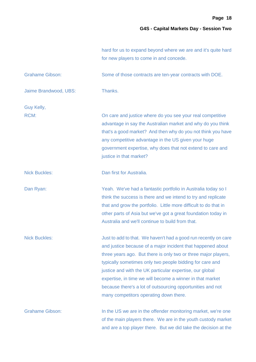|                        | hard for us to expand beyond where we are and it's quite hard<br>for new players to come in and concede.                                                                                                                                                                                                                                                                                                                                                                                      |
|------------------------|-----------------------------------------------------------------------------------------------------------------------------------------------------------------------------------------------------------------------------------------------------------------------------------------------------------------------------------------------------------------------------------------------------------------------------------------------------------------------------------------------|
| <b>Grahame Gibson:</b> | Some of those contracts are ten-year contracts with DOE.                                                                                                                                                                                                                                                                                                                                                                                                                                      |
| Jaime Brandwood, UBS:  | Thanks.                                                                                                                                                                                                                                                                                                                                                                                                                                                                                       |
| Guy Kelly,             |                                                                                                                                                                                                                                                                                                                                                                                                                                                                                               |
| <b>RCM:</b>            | On care and justice where do you see your real competitive<br>advantage in say the Australian market and why do you think<br>that's a good market? And then why do you not think you have<br>any competitive advantage in the US given your huge<br>government expertise, why does that not extend to care and<br>justice in that market?                                                                                                                                                     |
| <b>Nick Buckles:</b>   | Dan first for Australia.                                                                                                                                                                                                                                                                                                                                                                                                                                                                      |
| Dan Ryan:              | Yeah. We've had a fantastic portfolio in Australia today so I<br>think the success is there and we intend to try and replicate<br>that and grow the portfolio. Little more difficult to do that in<br>other parts of Asia but we've got a great foundation today in<br>Australia and we'll continue to build from that.                                                                                                                                                                       |
| <b>Nick Buckles:</b>   | Just to add to that. We haven't had a good run recently on care<br>and justice because of a major incident that happened about<br>three years ago. But there is only two or three major players,<br>typically sometimes only two people bidding for care and<br>justice and with the UK particular expertise, our global<br>expertise, in time we will become a winner in that market<br>because there's a lot of outsourcing opportunities and not<br>many competitors operating down there. |
| <b>Grahame Gibson:</b> | In the US we are in the offender monitoring market, we're one<br>of the main players there. We are in the youth custody market<br>and are a top player there. But we did take the decision at the                                                                                                                                                                                                                                                                                             |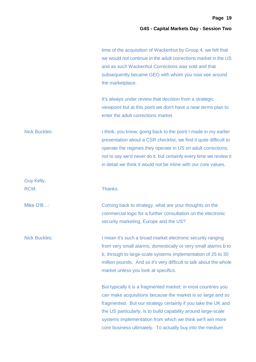| time of the acquisition of Wackenhut by Group 4, we felt that   |
|-----------------------------------------------------------------|
| we would not continue in the adult corrections market in the US |
| and as such Wackenhut Corrections was sold and that             |
| subsequently became GEO with whom you now see around            |
| the marketplace.                                                |

It's always under review that decision from a strategic viewpoint but at this point we don't have a near terms plan to enter the adult corrections market.

Nick Buckles: I think, you know, going back to the point I made in my earlier presentation about a CSR checklist, we find it quite difficult to operate the regimes they operate in US on adult corrections, not to say we'd never do it, but certainly every time we review it in detail we think it would not be inline with our core values.

Mike O'B...: Coming back to strategy, what are your thoughts on the commercial logic for a further consultation on the electronic security marketing, Europe and the US?

Nick Buckles: I mean it's such a broad market electronic security ranging from very small alarms, domestically or very small alarms b to b, through to large-scale systems implementation of 25 to 30 million pounds. And so it's very difficult to talk about the whole market unless you look at specifics.

> But typically it is a fragmented market; in most countries you can make acquisitions because the market is so large and so fragmented. But our strategy certainly if you take the UK and the US particularly, is to build capability around large-scale systems implementation from which we think we'll win more core business ultimately. To actually buy into the medium

Guy Kelly, RCM: Thanks.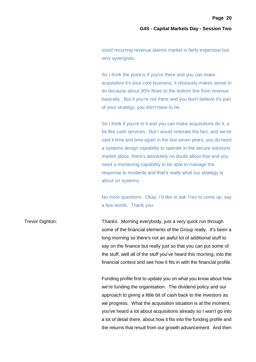sized recurring revenue alarms market is fairly expensive but very synergistic.

So I think the point is if you're there and you can make acquisition it's your core business, it obviously makes sense to do because about 30% flows to the bottom line from revenue basically. But if you're not there and you don't believe it's part of your strategy, you don't have to be.

So I think if you're in it and you can make acquisitions do it, a bit like cash services. But I would reiterate the fact, and we've said it time and time again in the last seven years, you do need a systems design capability to operate in the secure solutions market place, there's absolutely no doubt about that and you need a monitoring capability to be able to manage the response to incidents and that's really what our strategy is about on systems.

No more questions. Okay, I'd like to ask Trev to come up, say a few words. Thank you.

Trevor Dighton: Thanks. Morning everybody, just a very quick run through some of the financial elements of the Group really. It's been a long morning so there's not an awful lot of additional stuff to say on the finance but really just so that you can put some of the stuff, well all of the stuff you've heard this morning, into the financial context and see how it fits in with the financial profile.

> Funding profile first to update you on what you know about how we're funding the organisation. The dividend policy and our approach to giving a little bit of cash back to the investors as we progress. What the acquisition situation is at the moment, you've heard a lot about acquisitions already so I won't go into a lot of detail there, about how it fits into the funding profile and the returns that result from our growth advancement. And then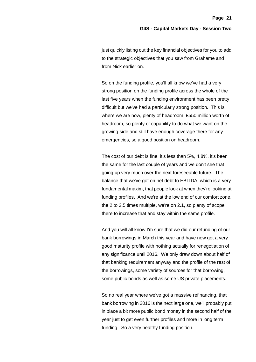just quickly listing out the key financial objectives for you to add to the strategic objectives that you saw from Grahame and from Nick earlier on.

So on the funding profile, you'll all know we've had a very strong position on the funding profile across the whole of the last five years when the funding environment has been pretty difficult but we've had a particularly strong position. This is where we are now, plenty of headroom, £550 million worth of headroom, so plenty of capability to do what we want on the growing side and still have enough coverage there for any emergencies, so a good position on headroom.

The cost of our debt is fine, it's less than 5%, 4.8%, it's been the same for the last couple of years and we don't see that going up very much over the next foreseeable future. The balance that we've got on net debt to EBITDA, which is a very fundamental maxim, that people look at when they're looking at funding profiles. And we're at the low end of our comfort zone, the 2 to 2.5 times multiple, we're on 2.1, so plenty of scope there to increase that and stay within the same profile.

And you will all know I'm sure that we did our refunding of our bank borrowings in March this year and have now got a very good maturity profile with nothing actually for renegotiation of any significance until 2016. We only draw down about half of that banking requirement anyway and the profile of the rest of the borrowings, some variety of sources for that borrowing, some public bonds as well as some US private placements.

So no real year where we've got a massive refinancing, that bank borrowing in 2016 is the next large one, we'll probably put in place a bit more public bond money in the second half of the year just to get even further profiles and more in long term funding. So a very healthy funding position.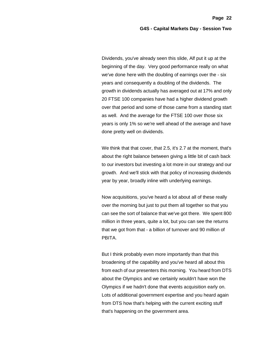Dividends, you've already seen this slide, Alf put it up at the beginning of the day. Very good performance really on what we've done here with the doubling of earnings over the - six years and consequently a doubling of the dividends. The growth in dividends actually has averaged out at 17% and only 20 FTSE 100 companies have had a higher dividend growth over that period and some of those came from a standing start as well. And the average for the FTSE 100 over those six years is only 1% so we're well ahead of the average and have done pretty well on dividends.

We think that that cover, that 2.5, it's 2.7 at the moment, that's about the right balance between giving a little bit of cash back to our investors but investing a lot more in our strategy and our growth. And we'll stick with that policy of increasing dividends year by year, broadly inline with underlying earnings.

Now acquisitions, you've heard a lot about all of these really over the morning but just to put them all together so that you can see the sort of balance that we've got there. We spent 800 million in three years, quite a lot, but you can see the returns that we got from that - a billion of turnover and 90 million of PBITA.

But I think probably even more importantly than that this broadening of the capability and you've heard all about this from each of our presenters this morning. You heard from DTS about the Olympics and we certainly wouldn't have won the Olympics if we hadn't done that events acquisition early on. Lots of additional government expertise and you heard again from DTS how that's helping with the current exciting stuff that's happening on the government area.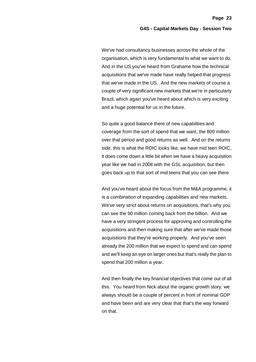We've had consultancy businesses across the whole of the organisation, which is very fundamental to what we want to do. And in the US you've heard from Grahame how the technical acquisitions that we've made have really helped that progress that we've made in the US. And the new markets of course a couple of very significant new markets that we're in particularly Brazil, which again you've heard about which is very exciting and a huge potential for us in the future.

So quite a good balance there of new capabilities and coverage from the sort of spend that we want, the 800 million over that period and good returns as well. And on the returns side, this is what the ROIC looks like, we have mid teen ROIC, it does come down a little bit when we have a heavy acquisition year like we had in 2008 with the GSL acquisition, but then goes back up to that sort of mid teens that you can see there.

And you've heard about the focus from the M&A programme, it is a combination of expanding capabilities and new markets. We've very strict about returns on acquisitions, that's why you can see the 90 million coming back from the billion. And we have a very stringent process for approving and controlling the acquisitions and then making sure that after we've made those acquisitions that they're working properly. And you've seen already the 200 million that we expect to spend and can spend and we'll keep an eye on larger ones but that's really the plan to spend that 200 million a year.

And then finally the key financial objectives that come out of all this. You heard from Nick about the organic growth story, we always should be a couple of percent in front of nominal GDP and have been and are very clear that that's the way forward on that.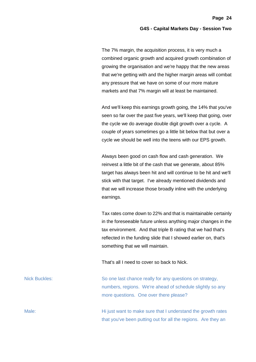The 7% margin, the acquisition process, it is very much a combined organic growth and acquired growth combination of growing the organisation and we're happy that the new areas that we're getting with and the higher margin areas will combat any pressure that we have on some of our more mature markets and that 7% margin will at least be maintained.

And we'll keep this earnings growth going, the 14% that you've seen so far over the past five years, we'll keep that going, over the cycle we do average double digit growth over a cycle. A couple of years sometimes go a little bit below that but over a cycle we should be well into the teens with our EPS growth.

Always been good on cash flow and cash generation. We reinvest a little bit of the cash that we generate, about 85% target has always been hit and will continue to be hit and we'll stick with that target. I've already mentioned dividends and that we will increase those broadly inline with the underlying earnings.

Tax rates come down to 22% and that is maintainable certainly in the foreseeable future unless anything major changes in the tax environment. And that triple B rating that we had that's reflected in the funding slide that I showed earlier on, that's something that we will maintain.

That's all I need to cover so back to Nick.

Nick Buckles: So one last chance really for any questions on strategy, numbers, regions. We're ahead of schedule slightly so any more questions. One over there please?

Male: Male: Male: Hi just want to make sure that I understand the growth rates that you've been putting out for all the regions. Are they an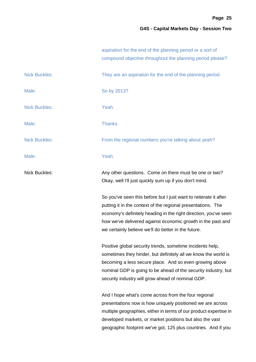|                      | aspiration for the end of the planning period or a sort of<br>compound objective throughout the planning period please?                                                                                                                                                                                                    |
|----------------------|----------------------------------------------------------------------------------------------------------------------------------------------------------------------------------------------------------------------------------------------------------------------------------------------------------------------------|
| <b>Nick Buckles:</b> | They are an aspiration for the end of the planning period.                                                                                                                                                                                                                                                                 |
| Male:                | So by 2013?                                                                                                                                                                                                                                                                                                                |
| <b>Nick Buckles:</b> | Yeah.                                                                                                                                                                                                                                                                                                                      |
| Male:                | Thanks.                                                                                                                                                                                                                                                                                                                    |
| <b>Nick Buckles:</b> | From the regional numbers you're talking about yeah?                                                                                                                                                                                                                                                                       |
| Male:                | Yeah.                                                                                                                                                                                                                                                                                                                      |
| <b>Nick Buckles:</b> | Any other questions. Come on there must be one or two?<br>Okay, well I'll just quickly sum up if you don't mind.                                                                                                                                                                                                           |
|                      | So you've seen this before but I just want to reiterate it after<br>putting it in the context of the regional presentations. The<br>economy's definitely heading in the right direction, you've seen<br>how we've delivered against economic growth in the past and<br>we certainly believe we'll do better in the future. |
|                      | Positive global security trends, sometime incidents help,<br>sometimes they hinder, but definitely all we know the world is<br>becoming a less secure place. And so even growing above<br>nominal GDP is going to be ahead of the security industry, but<br>security industry will grow ahead of nominal GDP.              |
|                      | And I hope what's come across from the four regional                                                                                                                                                                                                                                                                       |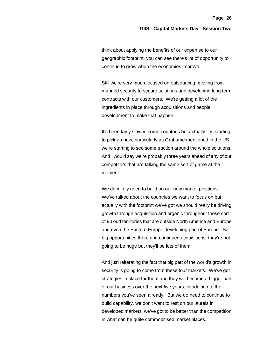think about applying the benefits of our expertise to our geographic footprint, you can see there's lot of opportunity to continue to grow when the economies improve.

Still we're very much focused on outsourcing, moving from manned security to secure solutions and developing long term contracts with our customers. We're getting a lot of the ingredients in place through acquisitions and people development to make that happen.

It's been fairly slow in some countries but actually it is starting to pick up now, particularly as Grahame mentioned in the US we're starting to see some traction around the whole solutions. And I would say we're probably three years ahead of any of our competitors that are talking the same sort of game at the moment.

We definitely need to build on our new market positions. We've talked about the countries we want to focus on but actually with the footprint we've got we should really be driving growth through acquisition and organic throughout those sort of 90 odd territories that are outside North America and Europe and even the Eastern Europe developing part of Europe. So big opportunities there and continued acquisitions, they're not going to be huge but they'll be lots of them.

And just reiterating the fact that big part of the world's growth in security is going to come from these four markets. We've got strategies in place for them and they will become a bigger part of our business over the next five years, in addition to the numbers you've seen already. But we do need to continue to build capability, we don't want to rest on our laurels in developed markets, we've got to be better than the competition in what can be quite commoditised market places.